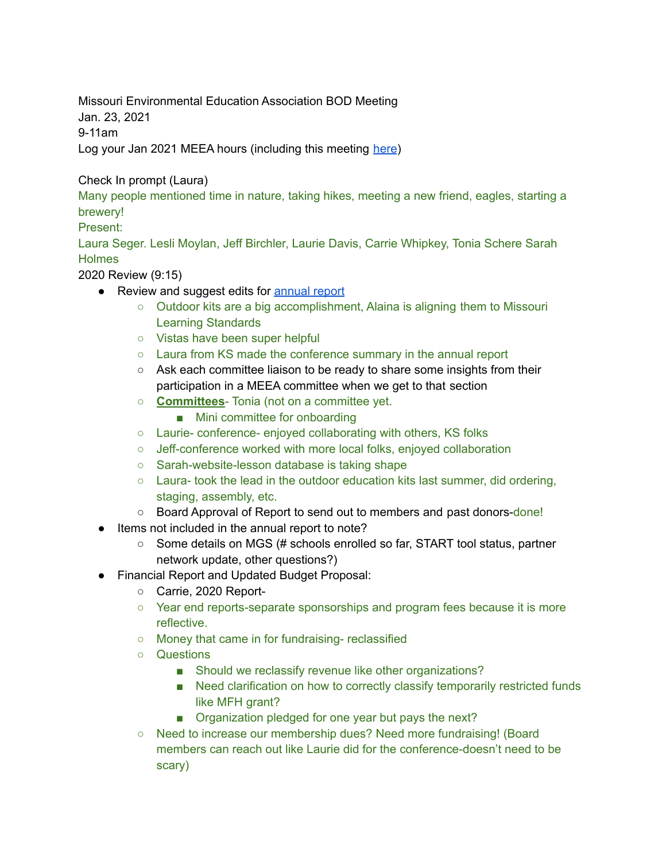Missouri Environmental Education Association BOD Meeting

Jan. 23, 2021

9-11am

Log your Jan 2021 MEEA hours (including this meeting [here](https://docs.google.com/forms/d/e/1FAIpQLSeyGs3BdG_sxFAGpjjXzRryj-8Os6pPqOvRnoMgrYpaisbrkw/viewform?usp=sf_link))

## Check In prompt (Laura)

Many people mentioned time in nature, taking hikes, meeting a new friend, eagles, starting a brewery!

## Present:

Laura Seger. Lesli Moylan, Jeff Birchler, Laurie Davis, Carrie Whipkey, Tonia Schere Sarah **Holmes** 

2020 Review (9:15)

- Review and suggest edits for [annual](https://drive.google.com/file/d/1I1VLI2a5OPmd6USTNDNII-EfLkL7how3/view?usp=sharing) report
	- Outdoor kits are a big accomplishment, Alaina is aligning them to Missouri Learning Standards
	- Vistas have been super helpful
	- Laura from KS made the conference summary in the annual report
	- Ask each committee liaison to be ready to share some insights from their participation in a MEEA committee when we get to that section
	- **Committees** Tonia (not on a committee yet.
		- Mini committee for onboarding
	- Laurie- conference- enjoyed collaborating with others, KS folks
	- Jeff-conference worked with more local folks, enjoyed collaboration
	- Sarah-website-lesson database is taking shape
	- $\circ$  Laura- took the lead in the outdoor education kits last summer, did ordering, staging, assembly, etc.
	- Board Approval of Report to send out to members and past donors-done!
- Items not included in the annual report to note?
	- Some details on MGS (# schools enrolled so far, START tool status, partner network update, other questions?)
- Financial Report and Updated Budget Proposal:
	- Carrie, 2020 Report-
	- Year end reports-separate sponsorships and program fees because it is more reflective.
	- Money that came in for fundraising- reclassified
	- Questions
		- Should we reclassify revenue like other organizations?
		- Need clarification on how to correctly classify temporarily restricted funds like MFH grant?
		- Organization pledged for one year but pays the next?
	- Need to increase our membership dues? Need more fundraising! (Board members can reach out like Laurie did for the conference-doesn't need to be scary)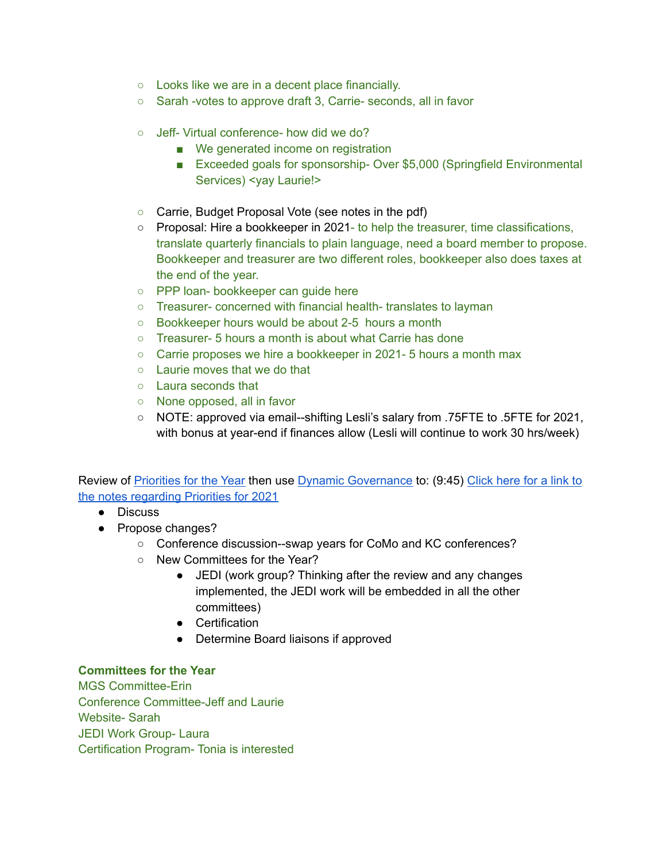- Looks like we are in a decent place financially.
- Sarah -votes to approve draft 3, Carrie- seconds, all in favor
- Jeff- Virtual conference- how did we do?
	- We generated income on registration
	- Exceeded goals for sponsorship-Over \$5,000 (Springfield Environmental Services) <yay Laurie!>
- Carrie, Budget Proposal Vote (see notes in the pdf)
- Proposal: Hire a bookkeeper in 2021- to help the treasurer, time classifications, translate quarterly financials to plain language, need a board member to propose. Bookkeeper and treasurer are two different roles, bookkeeper also does taxes at the end of the year.
- PPP loan- bookkeeper can guide here
- Treasurer- concerned with financial health- translates to layman
- Bookkeeper hours would be about 2-5 hours a month
- Treasurer- 5 hours a month is about what Carrie has done
- Carrie proposes we hire a bookkeeper in 2021- 5 hours a month max
- Laurie moves that we do that
- Laura seconds that
- None opposed, all in favor
- NOTE: approved via email--shifting Lesli's salary from .75FTE to .5FTE for 2021, with bonus at year-end if finances allow (Lesli will continue to work 30 hrs/week)

Review of [Priorities](https://docs.google.com/document/d/1uorB6vtqTh6LdwJKkes098WXrES008dEiyPXSotSris/edit?usp=sharing) for the Year then use Dynamic [Governance](https://drive.google.com/file/d/1mDJ9Tl2yIccwr7CuNLKHCLm4OwwP499b/view?usp=sharing) to: (9:45) [Click](https://docs.google.com/document/d/1g4BfboLl_gENdeEmKqK2p2q_L6HbOviYBEtwhnftFDU/edit?usp=sharing) here for a link to the notes [regarding](https://docs.google.com/document/d/1g4BfboLl_gENdeEmKqK2p2q_L6HbOviYBEtwhnftFDU/edit?usp=sharing) Priorities for 2021

- Discuss
- Propose changes?
	- Conference discussion--swap years for CoMo and KC conferences?
	- New Committees for the Year?
		- JEDI (work group? Thinking after the review and any changes implemented, the JEDI work will be embedded in all the other committees)
		- Certification
		- Determine Board liaisons if approved

## **Committees for the Year**

MGS Committee-Erin Conference Committee-Jeff and Laurie Website- Sarah JEDI Work Group- Laura Certification Program- Tonia is interested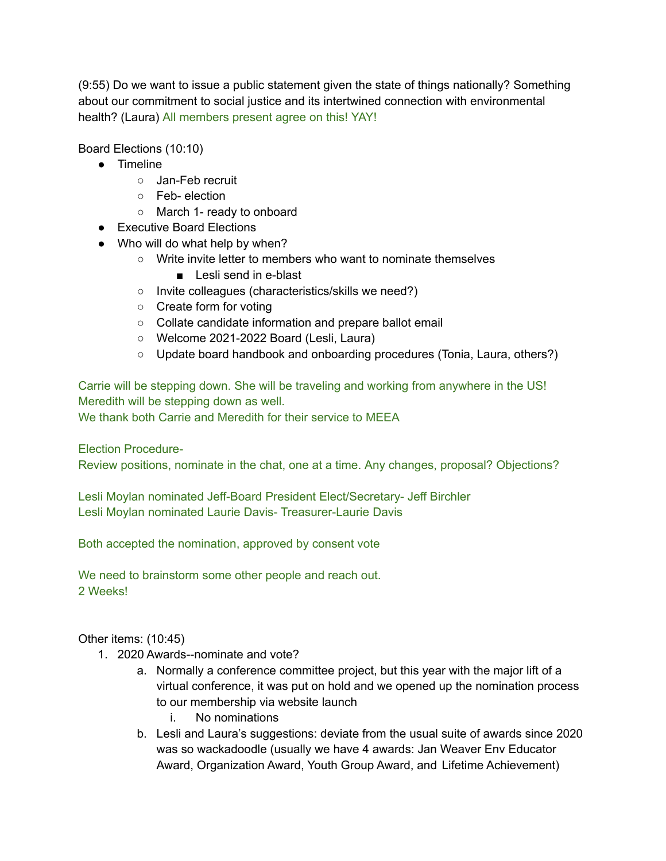(9:55) Do we want to issue a public statement given the state of things nationally? Something about our commitment to social justice and its intertwined connection with environmental health? (Laura) All members present agree on this! YAY!

Board Elections (10:10)

- Timeline
	- Jan-Feb recruit
	- Feb- election
	- March 1- ready to onboard
- Executive Board Elections
- Who will do what help by when?
	- Write invite letter to members who want to nominate themselves
		- Lesli send in e-blast
	- Invite colleagues (characteristics/skills we need?)
	- Create form for voting
	- Collate candidate information and prepare ballot email
	- Welcome 2021-2022 Board (Lesli, Laura)
	- Update board handbook and onboarding procedures (Tonia, Laura, others?)

Carrie will be stepping down. She will be traveling and working from anywhere in the US! Meredith will be stepping down as well.

We thank both Carrie and Meredith for their service to MEEA

Election Procedure-

Review positions, nominate in the chat, one at a time. Any changes, proposal? Objections?

Lesli Moylan nominated Jeff-Board President Elect/Secretary- Jeff Birchler Lesli Moylan nominated Laurie Davis- Treasurer-Laurie Davis

Both accepted the nomination, approved by consent vote

We need to brainstorm some other people and reach out. 2 Weeks!

Other items: (10:45)

- 1. 2020 Awards--nominate and vote?
	- a. Normally a conference committee project, but this year with the major lift of a virtual conference, it was put on hold and we opened up the nomination process to our membership via website launch
		- i. No nominations
	- b. Lesli and Laura's suggestions: deviate from the usual suite of awards since 2020 was so wackadoodle (usually we have 4 awards: Jan Weaver Env Educator Award, Organization Award, Youth Group Award, and Lifetime Achievement)